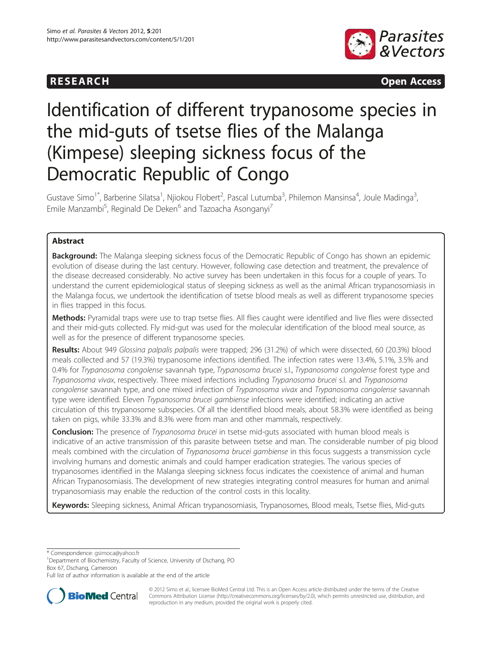## **RESEARCH RESEARCH CONSUMING ACCESS**



# Identification of different trypanosome species in the mid-guts of tsetse flies of the Malanga (Kimpese) sleeping sickness focus of the Democratic Republic of Congo

Gustave Simo<sup>1\*</sup>, Barberine Silatsa<sup>1</sup>, Njiokou Flobert<sup>2</sup>, Pascal Lutumba<sup>3</sup>, Philemon Mansinsa<sup>4</sup>, Joule Madinga<sup>3</sup> , Emile Manzambi<sup>5</sup>, Reginald De Deken<sup>6</sup> and Tazoacha Asonganyi<sup>7</sup>

## Abstract

**Background:** The Malanga sleeping sickness focus of the Democratic Republic of Congo has shown an epidemic evolution of disease during the last century. However, following case detection and treatment, the prevalence of the disease decreased considerably. No active survey has been undertaken in this focus for a couple of years. To understand the current epidemiological status of sleeping sickness as well as the animal African trypanosomiasis in the Malanga focus, we undertook the identification of tsetse blood meals as well as different trypanosome species in flies trapped in this focus.

Methods: Pyramidal traps were use to trap tsetse flies. All flies caught were identified and live flies were dissected and their mid-guts collected. Fly mid-gut was used for the molecular identification of the blood meal source, as well as for the presence of different trypanosome species.

Results: About 949 Glossina palpalis palpalis were trapped; 296 (31.2%) of which were dissected, 60 (20.3%) blood meals collected and 57 (19.3%) trypanosome infections identified. The infection rates were 13.4%, 5.1%, 3.5% and 0.4% for Trypanosoma congolense savannah type, Trypanosoma brucei s.l., Trypanosoma congolense forest type and Trypanosoma vivax, respectively. Three mixed infections including Trypanosoma brucei s.l. and Trypanosoma congolense savannah type, and one mixed infection of Trypanosoma vivax and Trypanosoma congolense savannah type were identified. Eleven Trypanosoma brucei gambiense infections were identified; indicating an active circulation of this trypanosome subspecies. Of all the identified blood meals, about 58.3% were identified as being taken on pigs, while 33.3% and 8.3% were from man and other mammals, respectively.

Conclusion: The presence of Trypanosoma brucei in tsetse mid-quts associated with human blood meals is indicative of an active transmission of this parasite between tsetse and man. The considerable number of pig blood meals combined with the circulation of Trypanosoma brucei gambiense in this focus suggests a transmission cycle involving humans and domestic animals and could hamper eradication strategies. The various species of trypanosomes identified in the Malanga sleeping sickness focus indicates the coexistence of animal and human African Trypanosomiasis. The development of new strategies integrating control measures for human and animal trypanosomiasis may enable the reduction of the control costs in this locality.

Keywords: Sleeping sickness, Animal African trypanosomiasis, Trypanosomes, Blood meals, Tsetse flies, Mid-guts

\* Correspondence: [gsimoca@yahoo.fr](mailto:gsimoca@yahoo.fr) <sup>1</sup>

<sup>1</sup>Department of Biochemistry, Faculty of Science, University of Dschang, PO Box 67, Dschang, Cameroon

Full list of author information is available at the end of the article



© 2012 Simo et al.; licensee BioMed Central Ltd. This is an Open Access article distributed under the terms of the Creative Commons Attribution License [\(http://creativecommons.org/licenses/by/2.0\)](http://creativecommons.org/licenses/by/2.0), which permits unrestricted use, distribution, and reproduction in any medium, provided the original work is properly cited.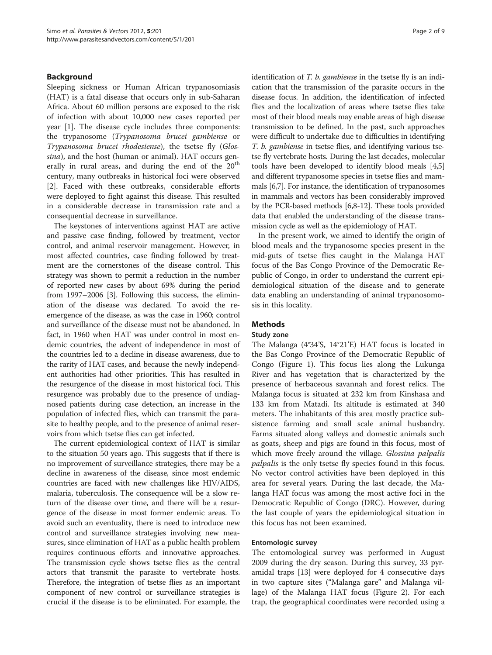#### Background

Sleeping sickness or Human African trypanosomiasis (HAT) is a fatal disease that occurs only in sub-Saharan Africa. About 60 million persons are exposed to the risk of infection with about 10,000 new cases reported per year [\[1](#page-7-0)]. The disease cycle includes three components: the trypanosome (Trypanosoma brucei gambiense or Trypanosoma brucei rhodesiense), the tsetse fly (Glossina), and the host (human or animal). HAT occurs generally in rural areas, and during the end of the  $20<sup>th</sup>$ century, many outbreaks in historical foci were observed [[2\]](#page-7-0). Faced with these outbreaks, considerable efforts were deployed to fight against this disease. This resulted in a considerable decrease in transmission rate and a consequential decrease in surveillance.

The keystones of interventions against HAT are active and passive case finding, followed by treatment, vector control, and animal reservoir management. However, in most affected countries, case finding followed by treatment are the cornerstones of the disease control. This strategy was shown to permit a reduction in the number of reported new cases by about 69% during the period from 1997–2006 [\[3](#page-7-0)]. Following this success, the elimination of the disease was declared. To avoid the reemergence of the disease, as was the case in 1960; control and surveillance of the disease must not be abandoned. In fact, in 1960 when HAT was under control in most endemic countries, the advent of independence in most of the countries led to a decline in disease awareness, due to the rarity of HAT cases, and because the newly independent authorities had other priorities. This has resulted in the resurgence of the disease in most historical foci. This resurgence was probably due to the presence of undiagnosed patients during case detection, an increase in the population of infected flies, which can transmit the parasite to healthy people, and to the presence of animal reservoirs from which tsetse flies can get infected.

The current epidemiological context of HAT is similar to the situation 50 years ago. This suggests that if there is no improvement of surveillance strategies, there may be a decline in awareness of the disease, since most endemic countries are faced with new challenges like HIV/AIDS, malaria, tuberculosis. The consequence will be a slow return of the disease over time, and there will be a resurgence of the disease in most former endemic areas. To avoid such an eventuality, there is need to introduce new control and surveillance strategies involving new measures, since elimination of HAT as a public health problem requires continuous efforts and innovative approaches. The transmission cycle shows tsetse flies as the central actors that transmit the parasite to vertebrate hosts. Therefore, the integration of tsetse flies as an important component of new control or surveillance strategies is crucial if the disease is to be eliminated. For example, the identification of T. b. gambiense in the tsetse fly is an indication that the transmission of the parasite occurs in the disease focus. In addition, the identification of infected flies and the localization of areas where tsetse flies take most of their blood meals may enable areas of high disease transmission to be defined. In the past, such approaches were difficult to undertake due to difficulties in identifying T. b. gambiense in tsetse flies, and identifying various tsetse fly vertebrate hosts. During the last decades, molecular tools have been developed to identify blood meals [[4,5](#page-7-0)] and different trypanosome species in tsetse flies and mammals [\[6,7\]](#page-7-0). For instance, the identification of trypanosomes in mammals and vectors has been considerably improved by the PCR-based methods [[6,8-12\]](#page-7-0). These tools provided data that enabled the understanding of the disease transmission cycle as well as the epidemiology of HAT.

In the present work, we aimed to identify the origin of blood meals and the trypanosome species present in the mid-guts of tsetse flies caught in the Malanga HAT focus of the Bas Congo Province of the Democratic Republic of Congo, in order to understand the current epidemiological situation of the disease and to generate data enabling an understanding of animal trypanosomosis in this locality.

#### Methods

#### Study zone

The Malanga (4°34'S, 14°21'E) HAT focus is located in the Bas Congo Province of the Democratic Republic of Congo (Figure [1\)](#page-2-0). This focus lies along the Lukunga River and has vegetation that is characterized by the presence of herbaceous savannah and forest relics. The Malanga focus is situated at 232 km from Kinshasa and 133 km from Matadi. Its altitude is estimated at 340 meters. The inhabitants of this area mostly practice subsistence farming and small scale animal husbandry. Farms situated along valleys and domestic animals such as goats, sheep and pigs are found in this focus, most of which move freely around the village. Glossina palpalis palpalis is the only tsetse fly species found in this focus. No vector control activities have been deployed in this area for several years. During the last decade, the Malanga HAT focus was among the most active foci in the Democratic Republic of Congo (DRC). However, during the last couple of years the epidemiological situation in this focus has not been examined.

#### Entomologic survey

The entomological survey was performed in August 2009 during the dry season. During this survey, 33 pyramidal traps [[13](#page-7-0)] were deployed for 4 consecutive days in two capture sites ("Malanga gare" and Malanga village) of the Malanga HAT focus (Figure [2\)](#page-3-0). For each trap, the geographical coordinates were recorded using a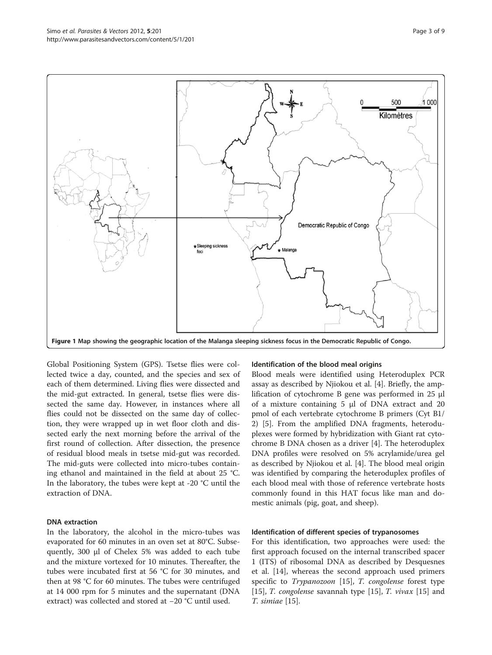<span id="page-2-0"></span>

Figure 1 Map showing the geographic location of the Malanga sleeping sickness focus in the Democratic Republic of Congo.

Global Positioning System (GPS). Tsetse flies were collected twice a day, counted, and the species and sex of each of them determined. Living flies were dissected and the mid-gut extracted. In general, tsetse flies were dissected the same day. However, in instances where all flies could not be dissected on the same day of collection, they were wrapped up in wet floor cloth and dissected early the next morning before the arrival of the first round of collection. After dissection, the presence of residual blood meals in tsetse mid-gut was recorded. The mid-guts were collected into micro-tubes containing ethanol and maintained in the field at about 25 °C. In the laboratory, the tubes were kept at -20 °C until the extraction of DNA.

## DNA extraction

In the laboratory, the alcohol in the micro-tubes was evaporated for 60 minutes in an oven set at 80°C. Subsequently, 300 μl of Chelex 5% was added to each tube and the mixture vortexed for 10 minutes. Thereafter, the tubes were incubated first at 56 °C for 30 minutes, and then at 98 °C for 60 minutes. The tubes were centrifuged at 14 000 rpm for 5 minutes and the supernatant (DNA extract) was collected and stored at −20 °C until used.

## Identification of the blood meal origins

Blood meals were identified using Heteroduplex PCR assay as described by Njiokou et al. [\[4](#page-7-0)]. Briefly, the amplification of cytochrome B gene was performed in 25 μl of a mixture containing 5 μl of DNA extract and 20 pmol of each vertebrate cytochrome B primers (Cyt B1/ 2) [[5\]](#page-7-0). From the amplified DNA fragments, heteroduplexes were formed by hybridization with Giant rat cytochrome B DNA chosen as a driver [[4](#page-7-0)]. The heteroduplex DNA profiles were resolved on 5% acrylamide/urea gel as described by Njiokou et al. [[4\]](#page-7-0). The blood meal origin was identified by comparing the heteroduplex profiles of each blood meal with those of reference vertebrate hosts commonly found in this HAT focus like man and domestic animals (pig, goat, and sheep).

## Identification of different species of trypanosomes

For this identification, two approaches were used: the first approach focused on the internal transcribed spacer 1 (ITS) of ribosomal DNA as described by Desquesnes et al. [[14\]](#page-7-0), whereas the second approach used primers specific to Trypanozoon [\[15\]](#page-7-0), T. congolense forest type [[15\]](#page-7-0), *T. congolense* savannah type [[15](#page-7-0)], *T. vivax* [15] and T. simiae [\[15](#page-7-0)].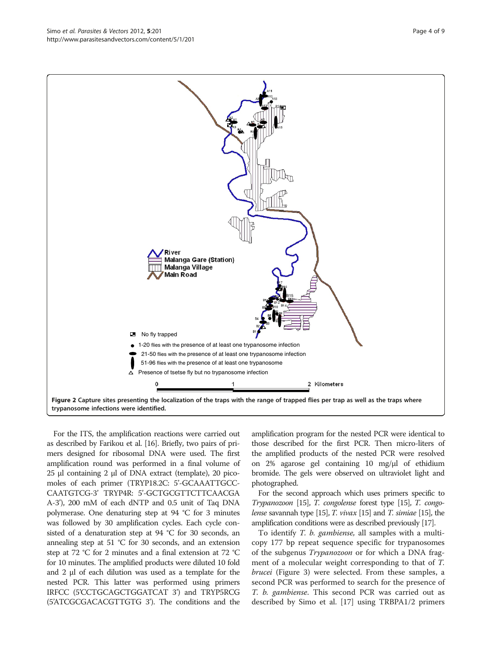<span id="page-3-0"></span>Simo et al. Parasites & Vectors 2012, 5:201 http://www.parasitesandvectors.com/content/5/1/201



For the ITS, the amplification reactions were carried out as described by Farikou et al. [\[16](#page-7-0)]. Briefly, two pairs of primers designed for ribosomal DNA were used. The first amplification round was performed in a final volume of 25 μl containing 2 μl of DNA extract (template), 20 picomoles of each primer (TRYP18.2C: 5'-GCAAATTGCC-CAATGTCG-3' TRYP4R: 5'-GCTGCGTTCTTCAACGA A-3'), 200 mM of each dNTP and 0.5 unit of Taq DNA polymerase. One denaturing step at 94 °C for 3 minutes was followed by 30 amplification cycles. Each cycle consisted of a denaturation step at 94 °C for 30 seconds, an annealing step at 51 °C for 30 seconds, and an extension step at 72 °C for 2 minutes and a final extension at 72 °C for 10 minutes. The amplified products were diluted 10 fold and 2 μl of each dilution was used as a template for the nested PCR. This latter was performed using primers IRFCC (5'CCTGCAGCTGGATCAT 3') and TRYP5RCG (5'ATCGCGACACGTTGTG 3'). The conditions and the amplification program for the nested PCR were identical to those described for the first PCR. Then micro-liters of the amplified products of the nested PCR were resolved on 2% agarose gel containing 10 mg/μl of ethidium bromide. The gels were observed on ultraviolet light and photographed.

For the second approach which uses primers specific to Trypanozoon [\[15](#page-7-0)], T. congolense forest type [\[15\]](#page-7-0), T. congo*lense* savannah type  $[15]$  $[15]$ , *T. vivax*  $[15]$  and *T. simiae*  $[15]$  $[15]$ , the amplification conditions were as described previously [\[17\]](#page-7-0).

To identify T. b. gambiense, all samples with a multicopy 177 bp repeat sequence specific for trypanosomes of the subgenus Trypanozoon or for which a DNA fragment of a molecular weight corresponding to that of T. brucei (Figure [3](#page-4-0)) were selected. From these samples, a second PCR was performed to search for the presence of T. b. gambiense. This second PCR was carried out as described by Simo et al. [[17](#page-7-0)] using TRBPA1/2 primers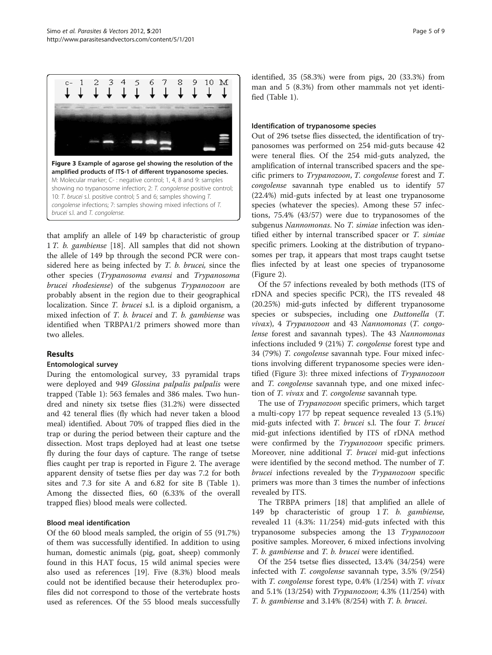<span id="page-4-0"></span>

that amplify an allele of 149 bp characteristic of group 1 T. b. gambiense [[18](#page-7-0)]. All samples that did not shown the allele of 149 bp through the second PCR were considered here as being infected by T. b. brucei, since the other species (Trypanosoma evansi and Trypanosoma brucei rhodesiense) of the subgenus Trypanozoon are probably absent in the region due to their geographical localization. Since *T. brucei* s.l. is a diploid organism, a mixed infection of T. b. brucei and T. b. gambiense was identified when TRBPA1/2 primers showed more than two alleles.

#### Results

#### Entomological survey

brucei s.l. and T. congolense.

During the entomological survey, 33 pyramidal traps were deployed and 949 Glossina palpalis palpalis were trapped (Table [1\)](#page-5-0): 563 females and 386 males. Two hundred and ninety six tsetse flies (31.2%) were dissected and 42 teneral flies (fly which had never taken a blood meal) identified. About 70% of trapped flies died in the trap or during the period between their capture and the dissection. Most traps deployed had at least one tsetse fly during the four days of capture. The range of tsetse flies caught per trap is reported in Figure [2](#page-3-0). The average apparent density of tsetse flies per day was 7.2 for both sites and 7.3 for site A and 6.82 for site B (Table [1](#page-5-0)). Among the dissected flies, 60 (6.33% of the overall trapped flies) blood meals were collected.

#### Blood meal identification

Of the 60 blood meals sampled, the origin of 55 (91.7%) of them was successfully identified. In addition to using human, domestic animals (pig, goat, sheep) commonly found in this HAT focus, 15 wild animal species were also used as references [[19\]](#page-7-0). Five (8.3%) blood meals could not be identified because their heteroduplex profiles did not correspond to those of the vertebrate hosts used as references. Of the 55 blood meals successfully identified, 35 (58.3%) were from pigs, 20 (33.3%) from man and 5 (8.3%) from other mammals not yet identified (Table [1\)](#page-5-0).

#### Identification of trypanosome species

Out of 296 tsetse flies dissected, the identification of trypanosomes was performed on 254 mid-guts because 42 were teneral flies. Of the 254 mid-guts analyzed, the amplification of internal transcribed spacers and the specific primers to Trypanozoon, T. congolense forest and T. congolense savannah type enabled us to identify 57 (22.4%) mid-guts infected by at least one trypanosome species (whatever the species). Among these 57 infections, 75.4% (43/57) were due to trypanosomes of the subgenus Nannomonas. No T. simiae infection was identified either by internal transcribed spacer or T. simiae specific primers. Looking at the distribution of trypanosomes per trap, it appears that most traps caught tsetse flies infected by at least one species of trypanosome (Figure [2\)](#page-3-0).

Of the 57 infections revealed by both methods (ITS of rDNA and species specific PCR), the ITS revealed 48 (20.25%) mid-guts infected by different trypanosome species or subspecies, including one Duttonella (T. vivax), 4 Trypanozoon and 43 Nannomonas (T. congolense forest and savannah types). The 43 Nannomonas infections included 9 (21%) T. congolense forest type and 34 (79%) T. congolense savannah type. Four mixed infections involving different trypanosome species were identified (Figure 3): three mixed infections of *Trypanozoon* and T. congolense savannah type, and one mixed infection of T. vivax and T. congolense savannah type.

The use of Trypanozoon specific primers, which target a multi-copy 177 bp repeat sequence revealed 13 (5.1%) mid-guts infected with T. brucei s.l. The four T. brucei mid-gut infections identified by ITS of rDNA method were confirmed by the *Trypanozoon* specific primers. Moreover, nine additional T. brucei mid-gut infections were identified by the second method. The number of T. brucei infections revealed by the Trypanozoon specific primers was more than 3 times the number of infections revealed by ITS.

The TRBPA primers [\[18](#page-7-0)] that amplified an allele of 149 bp characteristic of group 1 T. b. gambiense, revealed 11 (4.3%: 11/254) mid-guts infected with this trypanosome subspecies among the 13 Trypanozoon positive samples. Moreover, 6 mixed infections involving T. b. gambiense and T. b. brucei were identified.

Of the 254 tsetse flies dissected, 13.4% (34/254) were infected with T. congolense savannah type, 3.5% (9/254) with *T. congolense* forest type, 0.4% (1/254) with *T. vivax* and 5.1% (13/254) with Trypanozoon; 4.3% (11/254) with T. b. gambiense and 3.14% (8/254) with T. b. brucei.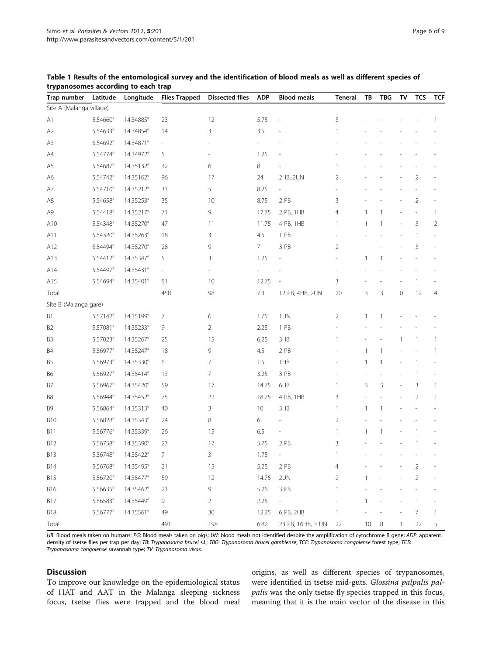| Trap number              | Latitude | Longitude | <b>Flies Trapped</b>     | <b>Dissected flies</b>   | <b>ADP</b> | <b>Blood meals</b>       | Teneral        | TB | <b>TBG</b>   | TV                       | <b>TCS</b>     | <b>TCF</b>     |
|--------------------------|----------|-----------|--------------------------|--------------------------|------------|--------------------------|----------------|----|--------------|--------------------------|----------------|----------------|
| Site A (Malanga village) |          |           |                          |                          |            |                          |                |    |              |                          |                |                |
| A1                       | 5.54660° | 14.34885° | 23                       | 12                       | 5.75       | $\overline{\phantom{a}}$ | 3              |    |              |                          |                | 1              |
| A2                       | 5.54633° | 14.34854° | 14                       | 3                        | 3.5        |                          | 1              |    |              |                          |                |                |
| A3                       | 5.54692° | 14.34871° | $\overline{\phantom{a}}$ |                          |            |                          |                |    |              |                          |                |                |
| A4                       | 5.54774° | 14.34972° | 5                        | $\overline{\phantom{a}}$ | 1.25       |                          |                |    |              |                          |                |                |
| A <sub>5</sub>           | 5.54687° | 14.35132° | 32                       | 6                        | 8          |                          | $\mathbf{1}$   |    |              |                          |                |                |
| A6                       | 5.54742° | 14.35162° | 96                       | 17                       | 24         | 2HB, 2UN                 | 2              |    |              |                          | $\overline{2}$ |                |
| A7                       | 5.54710° | 14.35212° | 33                       | 5                        | 8.25       | $\overline{\phantom{a}}$ |                |    |              |                          |                |                |
| A8                       | 5.54658° | 14.35253° | 35                       | 10                       | 8.75       | 2 PB                     | 3              |    |              |                          | $\overline{2}$ |                |
| A9                       | 5.54418° | 14.35217° | 71                       | 9                        | 17.75      | 2 PB, 1HB                | $\overline{4}$ | 1  | $\mathbf{1}$ |                          | ÷,             | 1              |
| A10                      | 5.54348° | 14.35270° | 47                       | 11                       | 11.75      | 4 PB, 1HB                | 1              | 1  | 1            | $\overline{\phantom{a}}$ | 3              | 2              |
| A11                      | 5.54320° | 14.35263° | 18                       | 3                        | 4.5        | 1 PB                     |                |    |              |                          | $\mathbf{1}$   |                |
| A12                      | 5.54494° | 14.35270° | 28                       | 9                        | 7          | 3 PB                     | $\overline{2}$ |    |              |                          | 3              |                |
| A13                      | 5.54412° | 14.35347° | 5                        | 3                        | 1.25       |                          |                | 1  | 1            |                          |                |                |
| A14                      | 5.54497° | 14.35431° | $\overline{\phantom{a}}$ |                          |            |                          |                |    |              |                          |                |                |
| A15                      | 5.54694° | 14.35401° | 51                       | 10                       | 12.75      |                          | 3              |    |              |                          | $\mathbf{1}$   |                |
| Total                    |          |           | 458                      | 98                       | 7.3        | 12 PB, 4HB, 2UN          | 20             | 3  | 3            | $\mathbf 0$              | 12             | $\overline{4}$ |
| Site B (Malanga gare)    |          |           |                          |                          |            |                          |                |    |              |                          |                |                |
| B1                       | 5.57142° | 14.35199° | 7                        | 6                        | 1.75       | 1UN                      | $\overline{2}$ | 1  | 1            |                          |                |                |
| B <sub>2</sub>           | 5.57081° | 14.35233° | 9                        | $\overline{2}$           | 2.25       | 1 PB                     |                |    |              |                          |                |                |
| B3                       | 5.57023° | 14.35267° | 25                       | 15                       | 6.25       | 3HB                      | $\mathbf{1}$   |    |              | $\mathbf{1}$             | $\mathbf{1}$   | $\overline{1}$ |
| B4                       | 5.56977° | 14.35247° | 18                       | 9                        | 4.5        | 2 PB                     |                | 1  | $\mathbf{1}$ |                          |                | 1              |
| B <sub>5</sub>           | 5.56973° | 14.35330° | 6                        | $\overline{7}$           | 1.5        | 1HB                      |                | 1  | 1            |                          | 1              |                |
| B6                       | 5.56927° | 14.35414° | 13                       | $\overline{7}$           | 3.25       | 3 PB                     |                |    |              |                          | $\mathbf{1}$   |                |
| B7                       | 5.56967° | 14.35420° | 59                       | 17                       | 14.75      | 6HB                      | $\mathbf{1}$   | 3  | 3            |                          | 3              | 1              |
| B8                       | 5.56944° | 14.35452° | 75                       | 22                       | 18.75      | 4 PB, 1HB                | 3              |    |              |                          | $\overline{2}$ | $\overline{1}$ |
| B9                       | 5.56864° | 14.35313° | 40                       | 3                        | 10         | 3HB                      | $\mathbf{1}$   | 1  | $\mathbf{1}$ |                          |                |                |
| <b>B10</b>               | 5.56828° | 14.35343° | 24                       | 8                        | 6          |                          | 2              |    |              |                          |                |                |
| <b>B11</b>               | 5.56776° | 14.35339° | 26                       | 15                       | 6.5        | $\overline{\phantom{m}}$ | 1              | 1  | $\mathbf{1}$ |                          | $\mathbf{1}$   |                |
| <b>B12</b>               | 5.56758° | 14.35390° | 23                       | 17                       | 5.75       | 2 PB                     | 3              |    |              |                          | 1              |                |
| <b>B13</b>               | 5.56748° | 14.35422° | 7                        | 3                        | 1.75       | $\overline{\phantom{a}}$ | 1              |    |              |                          |                |                |
| <b>B14</b>               | 5.56768° | 14.35495° | 21                       | 15                       | 5.25       | 2 PB                     | 4              |    |              |                          | 2              |                |
| <b>B15</b>               | 5.56720° | 14.35477° | 59                       | 12                       | 14.75      | 2UN                      | $\overline{2}$ |    |              |                          | $\overline{2}$ |                |
| <b>B16</b>               | 5.56635° | 14.35462° | 21                       | 9                        | 5.25       | 3 PB                     | 1              |    |              |                          |                |                |
| <b>B17</b>               | 5.56583° | 14.35449° | 9                        | $\overline{2}$           | 2.25       | $\overline{\phantom{a}}$ |                | 1  |              |                          | 1              |                |
| <b>B18</b>               | 5.56777° | 14.35561° | 49                       | 30                       | 12.25      | 6 PB, 2HB                | $\mathbf{1}$   |    |              |                          | 7              | $\overline{1}$ |
| Total                    |          |           | 491                      | 198                      | 6.82       | 23 PB, 16HB, 3 UN        | 22             | 10 | 8            | $\mathbf{1}$             | 22             | 5              |

<span id="page-5-0"></span>Table 1 Results of the entomological survey and the identification of blood meals as well as different species of trypanosomes according to each trap

HB: Blood meals taken on humans; PG: Blood meals taken on pigs; UN: blood meals not identified despite the amplification of cytochrome B gene; ADP: apparent density of tsetse flies per trap per day; TB: Trypanosoma brucei s.l.; TBG: Trypanosoma brucei gambiense; TCF: Trypanosoma congolense forest type; TCS: Trypanosoma congolense savannah type; TV: Trypanosoma vivax.

## Discussion

To improve our knowledge on the epidemiological status of HAT and AAT in the Malanga sleeping sickness focus, tsetse flies were trapped and the blood meal origins, as well as different species of trypanosomes, were identified in tsetse mid-guts. Glossina palpalis palpalis was the only tsetse fly species trapped in this focus, meaning that it is the main vector of the disease in this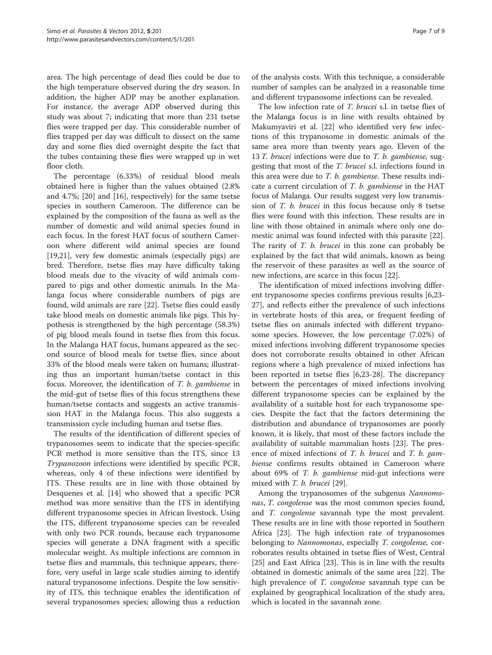area. The high percentage of dead flies could be due to the high temperature observed during the dry season. In addition, the higher ADP may be another explanation. For instance, the average ADP observed during this study was about 7; indicating that more than 231 tsetse flies were trapped per day. This considerable number of flies trapped per day was difficult to dissect on the same day and some flies died overnight despite the fact that the tubes containing these flies were wrapped up in wet floor cloth.

The percentage (6.33%) of residual blood meals obtained here is higher than the values obtained (2.8% and 4.7%; [\[20](#page-7-0)] and [\[16\]](#page-7-0), respectively) for the same tsetse species in southern Cameroon. The difference can be explained by the composition of the fauna as well as the number of domestic and wild animal species found in each focus. In the forest HAT focus of southern Cameroon where different wild animal species are found [[19,](#page-7-0)[21\]](#page-8-0), very few domestic animals (especially pigs) are bred. Therefore, tsetse flies may have difficulty taking blood meals due to the vivacity of wild animals compared to pigs and other domestic animals. In the Malanga focus where considerable numbers of pigs are found, wild animals are rare [[22](#page-8-0)]. Tsetse flies could easily take blood meals on domestic animals like pigs. This hypothesis is strengthened by the high percentage (58.3%) of pig blood meals found in tsetse flies from this focus. In the Malanga HAT focus, humans appeared as the second source of blood meals for tsetse flies, since about 33% of the blood meals were taken on humans; illustrating thus an important human/tsetse contact in this focus. Moreover, the identification of T. b. gambiense in the mid-gut of tsetse flies of this focus strengthens these human/tsetse contacts and suggests an active transmission HAT in the Malanga focus. This also suggests a transmission cycle including human and tsetse flies.

The results of the identification of different species of trypanosomes seem to indicate that the species-specific PCR method is more sensitive than the ITS, since 13 Trypanozoon infections were identified by specific PCR, whereas, only 4 of these infections were identified by ITS. These results are in line with those obtained by Desquenes et al. [[14\]](#page-7-0) who showed that a specific PCR method was more sensitive than the ITS in identifying different trypanosome species in African livestock. Using the ITS, different trypanosome species can be revealed with only two PCR rounds, because each trypanosome species will generate a DNA fragment with a specific molecular weight. As multiple infections are common in tsetse flies and mammals, this technique appears, therefore, very useful in large scale studies aiming to identify natural trypanosome infections. Despite the low sensitivity of ITS, this technique enables the identification of several trypanosomes species; allowing thus a reduction

of the analysis costs. With this technique, a considerable number of samples can be analyzed in a reasonable time and different trypanosome infections can be revealed.

The low infection rate of T. brucei s.l. in tsetse flies of the Malanga focus is in line with results obtained by Makumyaviri et al. [\[22](#page-8-0)] who identified very few infections of this trypanosome in domestic animals of the same area more than twenty years ago. Eleven of the 13 T. brucei infections were due to  $T$ . b. gambiense, suggesting that most of the T. brucei s.l. infections found in this area were due to T. b. gambiense. These results indicate a current circulation of T. b. gambiense in the HAT focus of Malanga. Our results suggest very low transmission of T. b. brucei in this focus because only 8 tsetse flies were found with this infection. These results are in line with those obtained in animals where only one domestic animal was found infected with this parasite [\[22](#page-8-0)]. The rarity of T. b. brucei in this zone can probably be explained by the fact that wild animals, known as being the reservoir of these parasites as well as the source of new infections, are scarce in this focus [\[22\]](#page-8-0).

The identification of mixed infections involving different trypanosome species confirms previous results [\[6](#page-7-0)[,23](#page-8-0)- [27\]](#page-8-0), and reflects either the prevalence of such infections in vertebrate hosts of this area, or frequent feeding of tsetse flies on animals infected with different trypanosome species. However, the low percentage (7.02%) of mixed infections involving different trypanosome species does not corroborate results obtained in other African regions where a high prevalence of mixed infections has been reported in tsetse flies [\[6](#page-7-0)[,23](#page-8-0)-[28\]](#page-8-0). The discrepancy between the percentages of mixed infections involving different trypanosome species can be explained by the availability of a suitable host for each trypanosome species. Despite the fact that the factors determining the distribution and abundance of trypanosomes are poorly known, it is likely, that most of these factors include the availability of suitable mammalian hosts [[23\]](#page-8-0). The presence of mixed infections of T. b. brucei and T. b. gambiense confirms results obtained in Cameroon where about 69% of  $T.$  b. gambiense mid-gut infections were mixed with *T. b. brucei* [[29](#page-8-0)].

Among the trypanosomes of the subgenus Nannomonas, T. congolense was the most common species found, and T. congolense savannah type the most prevalent. These results are in line with those reported in Southern Africa [[23](#page-8-0)]. The high infection rate of trypanosomes belonging to Nannomonas, especially T. congolense, corroborates results obtained in tsetse flies of West, Central [[25\]](#page-8-0) and East Africa [[23](#page-8-0)]. This is in line with the results obtained in domestic animals of the same area [[22\]](#page-8-0). The high prevalence of *T. congolense* savannah type can be explained by geographical localization of the study area, which is located in the savannah zone.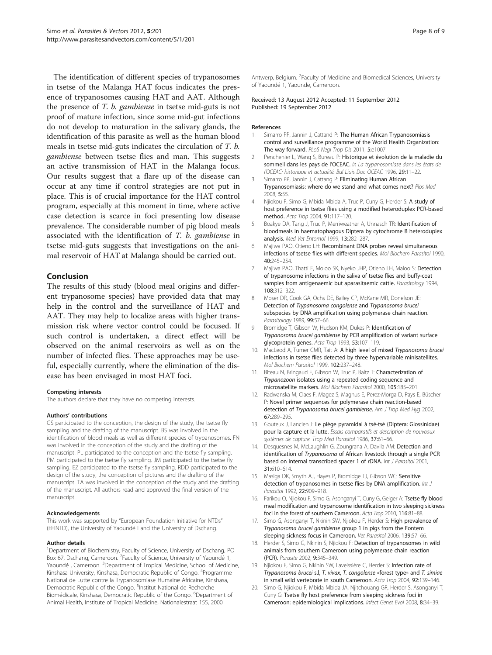<span id="page-7-0"></span>The identification of different species of trypanosomes in tsetse of the Malanga HAT focus indicates the presence of trypanosomes causing HAT and AAT. Although the presence of T. b. gambiense in tsetse mid-guts is not proof of mature infection, since some mid-gut infections do not develop to maturation in the salivary glands, the identification of this parasite as well as the human blood meals in tsetse mid-guts indicates the circulation of T. b. gambiense between tsetse flies and man. This suggests an active transmission of HAT in the Malanga focus. Our results suggest that a flare up of the disease can occur at any time if control strategies are not put in place. This is of crucial importance for the HAT control program, especially at this moment in time, where active case detection is scarce in foci presenting low disease prevalence. The considerable number of pig blood meals associated with the identification of T. b. gambiense in tsetse mid-guts suggests that investigations on the animal reservoir of HAT at Malanga should be carried out.

#### Conclusion

The results of this study (blood meal origins and different trypanosome species) have provided data that may help in the control and the surveillance of HAT and AAT. They may help to localize areas with higher transmission risk where vector control could be focused. If such control is undertaken, a direct effect will be observed on the animal reservoirs as well as on the number of infected flies. These approaches may be useful, especially currently, where the elimination of the disease has been envisaged in most HAT foci.

#### Competing interests

The authors declare that they have no competing interests.

#### Authors' contributions

GS participated to the conception, the design of the study, the tsetse fly sampling and the drafting of the manuscript. BS was involved in the identification of blood meals as well as different species of trypanosomes. FN was involved in the conception of the study and the drafting of the manuscript. PL participated to the conception and the tsetse fly sampling. PM participated to the tsetse fly sampling. JM participated to the tsetse fly sampling. EZ participated to the tsetse fly sampling. RDD participated to the design of the study, the conception of pictures and the drafting of the manuscript. TA was involved in the conception of the study and the drafting of the manuscript. All authors read and approved the final version of the manuscript.

#### Acknowledgements

This work was supported by "European Foundation Initiative for NTDs" (EFINTD), the University of Yaoundé I and the University of Dschang.

#### Author details

<sup>1</sup>Department of Biochemistry, Faculty of Science, University of Dschang, PO Box 67, Dschang, Cameroon. <sup>2</sup> Faculty of Science, University of Yaoundé 1, Yaoundé, Cameroon. <sup>3</sup>Department of Tropical Medicine, School of Medicine, Kinshasa University, Kinshasa, Democratic Republic of Congo. <sup>4</sup>Programme National de Lutte contre la Trypanosomiase Humaine Africaine, Kinshasa, Democratic Republic of the Congo. <sup>5</sup>Institut National de Recherche Biomédicale, Kinshasa, Democratic Republic of the Congo. <sup>6</sup>Department of Animal Health, Institute of Tropical Medicine, Nationalestraat 155, 2000

Antwerp, Belgium. <sup>7</sup> Faculty of Medicine and Biomedical Sciences, University of Yaoundé 1, Yaounde, Cameroon.

Received: 13 August 2012 Accepted: 11 September 2012 Published: 19 September 2012

#### References

- 1. Simarro PP, Jannin J, Cattand P: The Human African Trypanosomiasis control and surveillance programme of the World Health Organization: The way forward. PLoS Negl Trop Dis 2011, 5:e1007.
- 2. Penchenier L, Wang S, Bureau P: Historique et évolution de la maladie du sommeil dans les pays de l'OCEAC. In La trypanosomiase dans les états de l'OCEAC: historique et actualité. Bul Liais Doc OCEAC 1996, 29:11–22.
- Simarro PP, Jannin J, Cattang P: Eliminating Human African Trypanosomiasis: where do we stand and what comes next? Plos Med 2008, 5:55.
- 4. Nijokou F, Simo G, Mbida Mbida A, Truc P, Cuny G, Herder S: A study of host preference in tsetse flies using a modified heteroduplex PCR-based method. Acta Trop 2004, 91:117–120.
- 5. Boakye DA, Tang J, Truc P, Merriweather A, Unnasch TR: Identification of bloodmeals in haematophagous Diptera by cytochrome B heteroduplex analysis. Med Vet Entomol 1999, 13:282–287.
- 6. Majiwa PAO, Otieno LH: Recombinant DNA probes reveal simultaneous infections of tsetse flies with different species. Mol Biochem Parasitol 1990,  $40.245 - 254$
- 7. Majiwa PAO, Thatti E, Moloo SK, Nyeko JHP, Otieno LH, Maloo S: Detection of trypanosome infections in the saliva of tsetse flies and buffy-coat samples from antigenaemic but aparasitaemic cattle. Parasitology 1994, 108:312–322.
- 8. Moser DR, Cook GA, Ochs DE, Bailey CP, McKane MR, Donelson JE: Detection of Trypanosoma congolense and Trypanosoma brucei subspecies by DNA amplification using polymerase chain reaction. Parasitology 1989, 99:57–66.
- Bromidge T, Gibson W, Hudson KM, Dukes P: Identification of Trypanosoma brucei gambiense by PCR amplification of variant surface glycoprotein genes. Acta Trop 1993, 53:107–119.
- 10. MacLeod A, Turner CMR, Tait A: A high level of mixed Trypanosoma brucei infections in tsetse flies detected by three hypervariable minisatellites. Mol Biochem Parasitol 1999, 102:237–248.
- 11. Biteau N, Bringaud F, Gibson W, Truc P, Baltz T: Characterization of Trypanozoon isolates using a repeated coding sequence and microsatellite markers. Mol Biochem Parasitol 2000, 105:185–201.
- 12. Radwanska M, Claes F, Magez S, Magnus E, Perez-Morga D, Pays E, Büscher P: Novel primer sequences for polymerase chain reaction-based detection of Trypanosoma brucei gambiense. Am J Trop Med Hyg 2002, 67:289–295.
- 13. Gouteux J, Lancien J: Le piège pyramidal à tsé-tsé (Diptera: Glossinidae) pour la capture et la lutte. Essais comparatifs et description de nouveaux systèmes de capture. Trop Med Parasitol 1986, 37:61–66.
- 14. Desquesnes M, McLaughlin G, Zoungrana A, Davila AM: Detection and identification of Trypanosoma of African livestock through a single PCR based on internal transcribed spacer 1 of rDNA. Int J Parasitol 2001, 31:610–614.
- 15. Masiga DK, Smyth AJ, Hayes P, Bromidge TJ, Gibson WC: Sensitive detection of trypanosomes in tsetse flies by DNA amplification. Int J Parasitol 1992, 22:909–918.
- 16. Farikou O, Njiokou F, Simo G, Asonganyi T, Cuny G, Geiger A: Tsetse fly blood meal modification and trypanosome identification in two sleeping sickness foci in the forest of southern Cameroon. Acta Trop 2010, 116:81-88.
- 17. Simo G, Asonganyi T, Nkinin SW, Njiokou F, Herder S: High prevalence of Trypanosoma brucei gambiense group 1 in pigs from the Fontem sleeping sickness focus in Cameroon. Vet Parasitol 2006, 139:57–66.
- 18. Herder S, Simo G, Nkinin S, Njiokou F: Detection of trypanosomes in wild animals from southern Cameroon using polymerase chain reaction (PCR). Parasite 2002, 9:345–349.
- 19. Njiokou F, Simo G, Nkinin SW, Laveissière C, Herder S: Infection rate of Trypanosoma brucei s.l, T. vivax, T. congolense «forest type» and T. simiae in small wild vertebrate in south Cameroon. Acta Trop 2004, 92:139–146.
- 20. Simo G, Njiokou F, Mbida Mbida JA, Njitchouang GR, Herder S, Asonganyi T, Cuny G: Tsetse fly host preference from sleeping sickness foci in Cameroon: epidemiological implications. Infect Genet Evol 2008, 8:34–39.